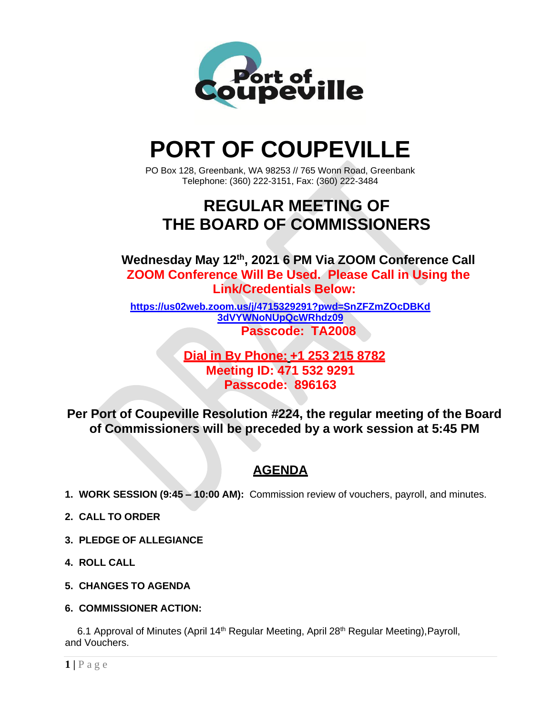

# **PORT OF COUPEVILLE**

PO Box 128, Greenbank, WA 98253 // 765 Wonn Road, Greenbank Telephone: (360) 222-3151, Fax: (360) 222-3484

## **REGULAR MEETING OF THE BOARD OF COMMISSIONERS**

**Wednesday May 12 th , 2021 6 PM Via ZOOM Conference Call ZOOM Conference Will Be Used. Please Call in Using the Link/Credentials Below:**

**[https://us02web.zoom.us/j/4715329291?pwd=SnZFZmZOcDBKd](https://us02web.zoom.us/j/4715329291?pwd=SnZFZmZOcDBKd3dVYWNoNUpQcWRhdz09) [3dVYWNoNUpQcWRhdz09](https://us02web.zoom.us/j/4715329291?pwd=SnZFZmZOcDBKd3dVYWNoNUpQcWRhdz09) Passcode: TA2008**

> **Dial in By Phone: +1 253 215 8782 Meeting ID: 471 532 9291 Passcode: 896163**

**Per Port of Coupeville Resolution #224, the regular meeting of the Board of Commissioners will be preceded by a work session at 5:45 PM**

### **AGENDA**

- **1. WORK SESSION (9:45 – 10:00 AM):** Commission review of vouchers, payroll, and minutes.
- **2. CALL TO ORDER**
- **3. PLEDGE OF ALLEGIANCE**
- **4. ROLL CALL**
- **5. CHANGES TO AGENDA**
- **6. COMMISSIONER ACTION:**

6.1 Approval of Minutes (April 14<sup>th</sup> Regular Meeting, April 28<sup>th</sup> Regular Meeting), Payroll, and Vouchers.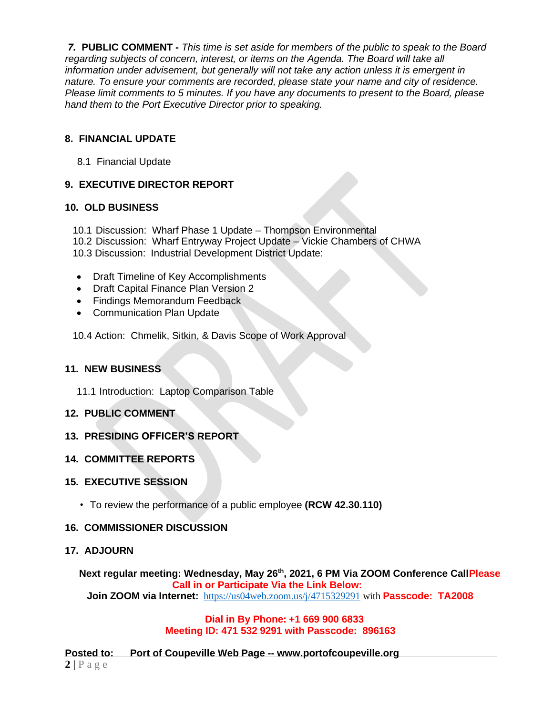*7.* **PUBLIC COMMENT -** *This time is set aside for members of the public to speak to the Board regarding subjects of concern, interest, or items on the Agenda. The Board will take all information under advisement, but generally will not take any action unless it is emergent in nature. To ensure your comments are recorded, please state your name and city of residence. Please limit comments to 5 minutes. If you have any documents to present to the Board, please hand them to the Port Executive Director prior to speaking.*

#### **8. FINANCIAL UPDATE**

8.1 Financial Update

#### **9. EXECUTIVE DIRECTOR REPORT**

#### **10. OLD BUSINESS**

- 10.1 Discussion: Wharf Phase 1 Update Thompson Environmental
- 10.2 Discussion: Wharf Entryway Project Update Vickie Chambers of CHWA

10.3 Discussion: Industrial Development District Update:

- Draft Timeline of Key Accomplishments
- Draft Capital Finance Plan Version 2
- Findings Memorandum Feedback
- Communication Plan Update

10.4 Action: Chmelik, Sitkin, & Davis Scope of Work Approval

#### **11. NEW BUSINESS**

11.1 Introduction: Laptop Comparison Table

#### **12. PUBLIC COMMENT**

#### **13. PRESIDING OFFICER'S REPORT**

#### **14. COMMITTEE REPORTS**

#### **15. EXECUTIVE SESSION**

•To review the performance of a public employee **(RCW 42.30.110)**

#### **16. COMMISSIONER DISCUSSION**

#### **17. ADJOURN**

**Next regular meeting: Wednesday, May 26 th, 2021, 6 PM Via ZOOM Conference CallPlease Call in or Participate Via the Link Below:**

**Join ZOOM via Internet:** <https://us04web.zoom.us/j/4715329291> with **Passcode: TA2008**

#### **Dial in By Phone: +1 669 900 6833 Meeting ID: 471 532 9291 with Passcode: 896163**

 $2 | P \text{ a } g \text{ e}$ **Posted to: Port of Coupeville Web Page -- [www.portofcoupeville.org](http://www.portofcoupeville.org/)**